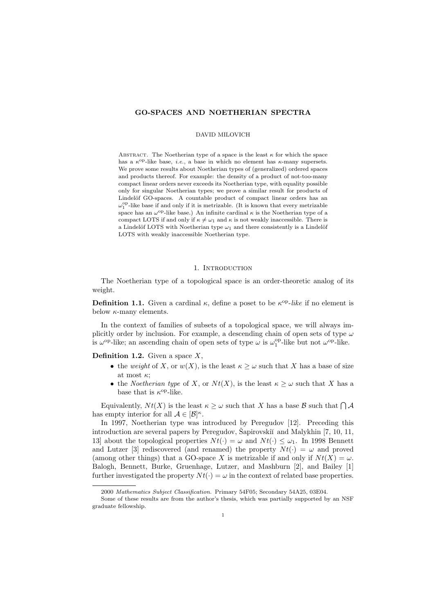# GO-SPACES AND NOETHERIAN SPECTRA

#### DAVID MILOVICH

ABSTRACT. The Noetherian type of a space is the least  $\kappa$  for which the space has a  $\kappa^{\rm op}$ -like base, *i.e.*, a base in which no element has  $\kappa$ -many supersets. We prove some results about Noetherian types of (generalized) ordered spaces and products thereof. For example: the density of a product of not-too-many compact linear orders never exceeds its Noetherian type, with equality possible only for singular Noetherian types; we prove a similar result for products of Lindelöf GO-spaces. A countable product of compact linear orders has an  $\omega_1^{\mathrm{op}}$ -like base if and only if it is metrizable. (It is known that every metrizable space has an  $\omega^{\text{op}}$ -like base.) An infinite cardinal  $\kappa$  is the Noetherian type of a compact LOTS if and only if  $\kappa \neq \omega_1$  and  $\kappa$  is not weakly inaccessible. There is a Lindelöf LOTS with Noetherian type  $\omega_1$  and there consistently is a Lindelöf LOTS with weakly inaccessible Noetherian type.

### 1. INTRODUCTION

The Noetherian type of a topological space is an order-theoretic analog of its weight.

**Definition 1.1.** Given a cardinal  $\kappa$ , define a poset to be  $\kappa^{\text{op}}$ -like if no element is below  $\kappa$ -many elements.

In the context of families of subsets of a topological space, we will always implicitly order by inclusion. For example, a descending chain of open sets of type  $\omega$ is  $\omega^{\rm op}$ -like; an ascending chain of open sets of type  $\omega$  is  $\omega_1^{\rm op}$ -like but not  $\omega^{\rm op}$ -like.

**Definition 1.2.** Given a space  $X$ ,

- the weight of X, or  $w(X)$ , is the least  $\kappa \geq \omega$  such that X has a base of size at most  $\kappa$ ;
- the Noetherian type of X, or  $N t(X)$ , is the least  $\kappa \geq \omega$  such that X has a base that is  $\kappa^{\mathrm{op}}\text{-like.}$

Equivalently,  $Nt(X)$  is the least  $\kappa \geq \omega$  such that X has a base B such that  $\bigcap \mathcal{A}$ has empty interior for all  $\mathcal{A} \in [\mathcal{B}]^{\kappa}$ .

In 1997, Noetherian type was introduced by Peregudov [12]. Preceding this introduction are several papers by Peregudov, Sapirovski $\check{\mathrm{r}}$  and Malykhin [7, 10, 11, 13] about the topological properties  $N t(\cdot) = \omega$  and  $N t(\cdot) \leq \omega_1$ . In 1998 Bennett and Lutzer [3] rediscovered (and renamed) the property  $N t(\cdot) = \omega$  and proved (among other things) that a GO-space X is metrizable if and only if  $N t(X) = \omega$ . Balogh, Bennett, Burke, Gruenhage, Lutzer, and Mashburn [2], and Bailey [1] further investigated the property  $N t(\cdot) = \omega$  in the context of related base properties.

<sup>2000</sup> Mathematics Subject Classification. Primary 54F05; Secondary 54A25, 03E04.

Some of these results are from the author's thesis, which was partially supported by an NSF graduate fellowship.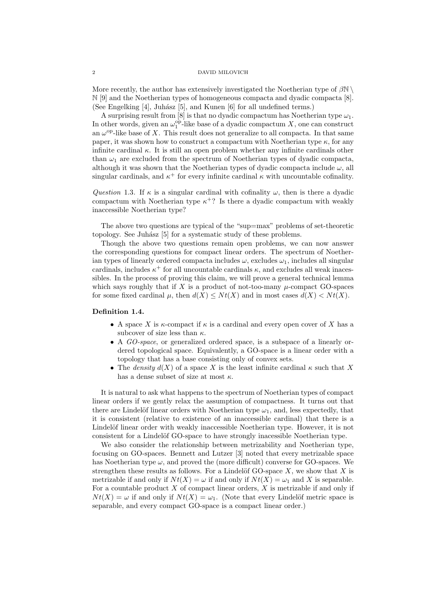More recently, the author has extensively investigated the Noetherian type of  $\beta\mathbb{N} \setminus$ N [9] and the Noetherian types of homogeneous compacta and dyadic compacta [8]. (See Engelking  $[4]$ , Juhász  $[5]$ , and Kunen  $[6]$  for all undefined terms.)

A surprising result from [8] is that no dyadic compactum has Noetherian type  $\omega_1$ . In other words, given an  $\omega_1^{\text{op}}$ -like base of a dyadic compactum X, one can construct an  $\omega^{\rm op}$ -like base of X. This result does not generalize to all compacta. In that same paper, it was shown how to construct a compactum with Noetherian type  $\kappa$ , for any infinite cardinal  $\kappa$ . It is still an open problem whether any infinite cardinals other than  $\omega_1$  are excluded from the spectrum of Noetherian types of dyadic compacta, although it was shown that the Noetherian types of dyadic compacta include  $\omega$ , all singular cardinals, and  $\kappa^+$  for every infinite cardinal  $\kappa$  with uncountable cofinality.

Question 1.3. If  $\kappa$  is a singular cardinal with cofinality  $\omega$ , then is there a dyadic compactum with Noetherian type  $\kappa^+$ ? Is there a dyadic compactum with weakly inaccessible Noetherian type?

The above two questions are typical of the "sup=max" problems of set-theoretic topology. See Juhász [5] for a systematic study of these problems.

Though the above two questions remain open problems, we can now answer the corresponding questions for compact linear orders. The spectrum of Noetherian types of linearly ordered compacta includes  $\omega$ , excludes  $\omega_1$ , includes all singular cardinals, includes  $\kappa^+$  for all uncountable cardinals  $\kappa$ , and excludes all weak inacessibles. In the process of proving this claim, we will prove a general technical lemma which says roughly that if X is a product of not-too-many  $\mu$ -compact GO-spaces for some fixed cardinal  $\mu$ , then  $d(X) \leq N t(X)$  and in most cases  $d(X) < N t(X)$ .

#### Definition 1.4.

- A space X is  $\kappa$ -compact if  $\kappa$  is a cardinal and every open cover of X has a subcover of size less than  $\kappa$ .
- A GO-space, or generalized ordered space, is a subspace of a linearly ordered topological space. Equivalently, a GO-space is a linear order with a topology that has a base consisting only of convex sets.
- The density  $d(X)$  of a space X is the least infinite cardinal  $\kappa$  such that X has a dense subset of size at most  $\kappa$ .

It is natural to ask what happens to the spectrum of Noetherian types of compact linear orders if we gently relax the assumption of compactness. It turns out that there are Lindelöf linear orders with Noetherian type  $\omega_1$ , and, less expectedly, that it is consistent (relative to existence of an inaccessible cardinal) that there is a Lindelöf linear order with weakly inaccessible Noetherian type. However, it is not consistent for a Lindelöf GO-space to have strongly inacessible Noetherian type.

We also consider the relationship between metrizability and Noetherian type, focusing on GO-spaces. Bennett and Lutzer [3] noted that every metrizable space has Noetherian type  $\omega$ , and proved the (more difficult) converse for GO-spaces. We strengthen these results as follows. For a Lindelöf GO-space  $X$ , we show that  $X$  is metrizable if and only if  $N t(X) = \omega$  if and only if  $N t(X) = \omega_1$  and X is separable. For a countable product  $X$  of compact linear orders,  $X$  is metrizable if and only if  $N t(X) = \omega$  if and only if  $N t(X) = \omega_1$ . (Note that every Lindelöf metric space is separable, and every compact GO-space is a compact linear order.)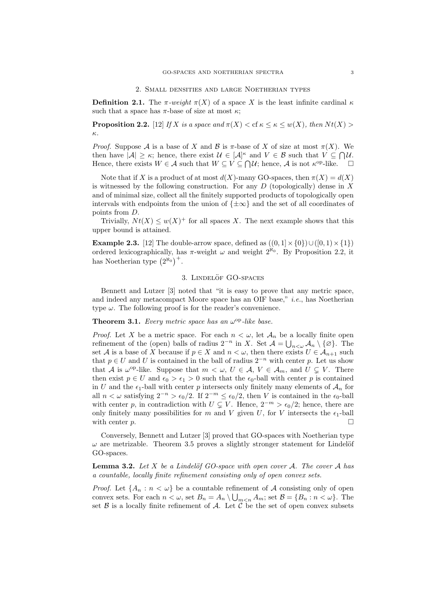**Definition 2.1.** The  $\pi$ -weight  $\pi(X)$  of a space X is the least infinite cardinal  $\kappa$ such that a space has  $\pi$ -base of size at most  $\kappa$ ;

**Proposition 2.2.** [12] If X is a space and  $\pi(X) <$  cf  $\kappa \leq \kappa \leq w(X)$ , then  $Nt(X) >$ κ.

*Proof.* Suppose A is a base of X and B is  $\pi$ -base of X of size at most  $\pi(X)$ . We then have  $|A| \geq \kappa$ ; hence, there exist  $\mathcal{U} \in [A]^{\kappa}$  and  $V \in \mathcal{B}$  such that  $V \subseteq \bigcap \mathcal{U}$ . Hence, there exists  $W \in \mathcal{A}$  such that  $W \subseteq V \subseteq \bigcap \mathcal{U}$ ; hence,  $\mathcal{A}$  is not  $\kappa^{\text{op}}$ -like.

Note that if X is a product of at most  $d(X)$ -many GO-spaces, then  $\pi(X) = d(X)$ is witnessed by the following construction. For any  $D$  (topologically) dense in  $X$ and of minimal size, collect all the finitely supported products of topologically open intervals with endpoints from the union of  $\{\pm \infty\}$  and the set of all coordinates of points from D.

Trivially,  $Nt(X) \leq w(X)^+$  for all spaces X. The next example shows that this upper bound is attained.

**Example 2.3.** [12] The double-arrow space, defined as  $((0,1] \times \{0\}) \cup ([0,1] \times \{1\})$ ordered lexicographically, has  $\pi$ -weight  $\omega$  and weight  $2^{\aleph_0}$ . By Proposition 2.2, it has Noetherian type  $(2^{\aleph_0})^+$ .

### 3. LINDELÖF GO-SPACES

Bennett and Lutzer [3] noted that "it is easy to prove that any metric space, and indeed any metacompact Moore space has an OIF base," i.e., has Noetherian type  $\omega$ . The following proof is for the reader's convenience.

# **Theorem 3.1.** Every metric space has an  $\omega^{\rm op}$ -like base.

*Proof.* Let X be a metric space. For each  $n < \omega$ , let  $\mathcal{A}_n$  be a locally finite open refinement of the (open) balls of radius  $2^{-n}$  in X. Set  $\mathcal{A} = \bigcup_{n<\omega} \mathcal{A}_n \setminus \{\varnothing\}$ . The set A is a base of X because if  $p \in X$  and  $n < \omega$ , then there exists  $U \in \mathcal{A}_{n+1}$  such that  $p \in U$  and U is contained in the ball of radius  $2^{-n}$  with center p. Let us show that A is  $\omega^{\text{op}}$ -like. Suppose that  $m < \omega, U \in \mathcal{A}, V \in \mathcal{A}_m$ , and  $U \subsetneq V$ . There then exist  $p \in U$  and  $\epsilon_0 > \epsilon_1 > 0$  such that the  $\epsilon_0$ -ball with center p is contained in U and the  $\epsilon_1$ -ball with center p intersects only finitely many elements of  $\mathcal{A}_n$  for all  $n < \omega$  satisfying  $2^{-n} > \epsilon_0/2$ . If  $2^{-m} \leq \epsilon_0/2$ , then V is contained in the  $\epsilon_0$ -ball with center p, in contradiction with  $U \subseteq V$ . Hence,  $2^{-m} > \epsilon_0/2$ ; hence, there are only finitely many possibilities for m and V given U, for V intersects the  $\epsilon_1$ -ball with center  $p$ .

Conversely, Bennett and Lutzer [3] proved that GO-spaces with Noetherian type  $\omega$  are metrizable. Theorem 3.5 proves a slightly stronger statement for Lindelöf GO-spaces.

**Lemma 3.2.** Let X be a Lindelöf GO-space with open cover A. The cover A has a countable, locally finite refinement consisting only of open convex sets.

*Proof.* Let  $\{A_n : n < \omega\}$  be a countable refinement of A consisting only of open convex sets. For each  $n < \omega$ , set  $B_n = A_n \setminus \bigcup_{m \leq n} A_m$ ; set  $\mathcal{B} = \{B_n : n < \omega\}$ . The set  $\beta$  is a locally finite refinement of  $\mathcal{A}$ . Let  $\ddot{\mathcal{C}}$  be the set of open convex subsets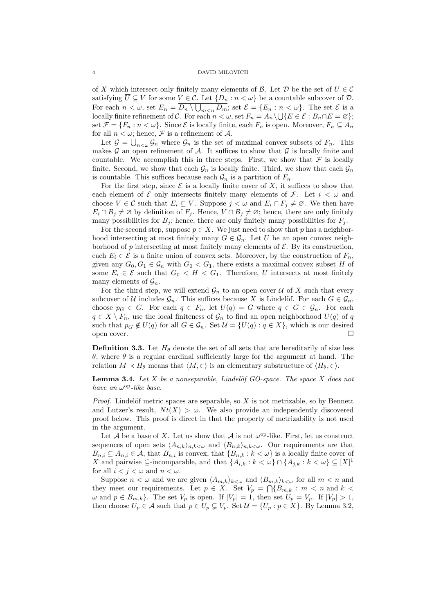of X which intersect only finitely many elements of B. Let D be the set of  $U \in \mathcal{C}$ satisfying  $U \subseteq V$  for some  $V \in \mathcal{C}$ . Let  $\{D_n : n < \omega\}$  be a countable subcover of  $\mathcal{D}$ . For each  $n < \omega$ , set  $E_n = D_n \setminus \bigcup_{m \le n} D_m$ ; set  $\mathcal{E} = \{E_n : n < \omega\}$ . The set  $\mathcal{E}$  is a locally finite refinement of C. For each  $n < \omega$ , set  $F_n = A_n \setminus \bigcup \{E \in \mathcal{E} : B_n \cap E = \varnothing\};$ set  $\mathcal{F} = \{F_n : n < \omega\}$ . Since  $\mathcal{E}$  is locally finite, each  $F_n$  is open. Moreover,  $F_n \subseteq A_n$ for all  $n < \omega$ ; hence,  $\mathcal F$  is a refinement of  $\mathcal A$ .

Let  $\mathcal{G} = \bigcup_{n<\omega} \mathcal{G}_n$  where  $\mathcal{G}_n$  is the set of maximal convex subsets of  $F_n$ . This makes  $G$  an open refinement of  $A$ . It suffices to show that  $G$  is locally finite and countable. We accomplish this in three steps. First, we show that  $\mathcal F$  is locally finite. Second, we show that each  $\mathcal{G}_n$  is locally finite. Third, we show that each  $\mathcal{G}_n$ is countable. This suffices because each  $\mathcal{G}_n$  is a partition of  $F_n$ .

For the first step, since  $\mathcal E$  is a locally finite cover of X, it suffices to show that each element of  $\mathcal E$  only intersects finitely many elements of  $\mathcal F$ . Let  $i < \omega$  and choose  $V \in \mathcal{C}$  such that  $E_i \subseteq V$ . Suppose  $j < \omega$  and  $E_i \cap F_j \neq \emptyset$ . We then have  $E_i \cap B_j \neq \emptyset$  by definition of  $F_j$ . Hence,  $V \cap B_j \neq \emptyset$ ; hence, there are only finitely many possibilities for  $B_j$ ; hence, there are only finitely many possibilities for  $F_j$ .

For the second step, suppose  $p \in X$ . We just need to show that p has a neighborhood intersecting at most finitely many  $G \in \mathcal{G}_n$ . Let U be an open convex neighborhood of  $p$  intersecting at most finitely many elements of  $\mathcal{E}$ . By its construction, each  $E_i \in \mathcal{E}$  is a finite union of convex sets. Moreover, by the construction of  $F_n$ , given any  $G_0, G_1 \in \mathcal{G}_n$  with  $G_0 < G_1$ , there exists a maximal convex subset H of some  $E_i \in \mathcal{E}$  such that  $G_0 \lt H \lt G_1$ . Therefore, U intersects at most finitely many elements of  $\mathcal{G}_n$ .

For the third step, we will extend  $\mathcal{G}_n$  to an open cover U of X such that every subcover of U includes  $\mathcal{G}_n$ . This suffices because X is Lindelöf. For each  $G \in \mathcal{G}_n$ , choose  $p_G \in G$ . For each  $q \in F_n$ , let  $U(q) = G$  where  $q \in G \in \mathcal{G}_n$ . For each  $q \in X \setminus F_n$ , use the local finiteness of  $\mathcal{G}_n$  to find an open neighborhood  $U(q)$  of q such that  $p_G \notin U(q)$  for all  $G \in \mathcal{G}_n$ . Set  $\mathcal{U} = \{U(q) : q \in X\}$ , which is our desired open cover.

**Definition 3.3.** Let  $H_{\theta}$  denote the set of all sets that are hereditarily of size less θ, where θ is a regular cardinal sufficiently large for the argument at hand. The relation  $M \prec H_{\theta}$  means that  $\langle M, \in \rangle$  is an elementary substructure of  $\langle H_{\theta}, \in \rangle$ .

**Lemma 3.4.** Let X be a nonseparable, Lindelöf GO-space. The space X does not have an  $\omega^{\rm op}\text{-}like$  base.

*Proof.* Lindelöf metric spaces are separable, so  $X$  is not metrizable, so by Bennett and Lutzer's result,  $Nt(X) > \omega$ . We also provide an independently discovered proof below. This proof is direct in that the property of metrizability is not used in the argument.

Let A be a base of X. Let us show that A is not  $\omega^{\rm op}$ -like. First, let us construct sequences of open sets  $\langle A_{n,k}\rangle_{n,k\lt\omega}$  and  $\langle B_{n,k}\rangle_{n,k\lt\omega}$ . Our requirements are that  $B_{n,i} \subseteq A_{n,i} \in \mathcal{A}$ , that  $B_{n,i}$  is convex, that  $\{B_{n,k} : k < \omega\}$  is a locally finite cover of X and pairwise  $\subseteq$ -incomparable, and that  $\{A_{i,k}: k < \omega\} \cap \{A_{j,k}: k < \omega\} \subseteq [X]^1$ for all  $i < j < \omega$  and  $n < \omega$ .

Suppose  $n < \omega$  and we are given  $\langle A_{m,k} \rangle_{k \leq \omega}$  and  $\langle B_{m,k} \rangle_{k \leq \omega}$  for all  $m < n$  and they meet our requirements. Let  $p \in X$ . Set  $V_p = \bigcap \{B_{m,k} : m \leq n \text{ and } k \leq k\}$  $\omega$  and  $p \in B_{m,k}$ . The set  $V_p$  is open. If  $|V_p| = 1$ , then set  $U_p = V_p$ . If  $|V_p| > 1$ , then choose  $U_p \in \mathcal{A}$  such that  $p \in U_p \subsetneq V_p$ . Set  $\mathcal{U} = \{U_p : p \in X\}$ . By Lemma 3.2,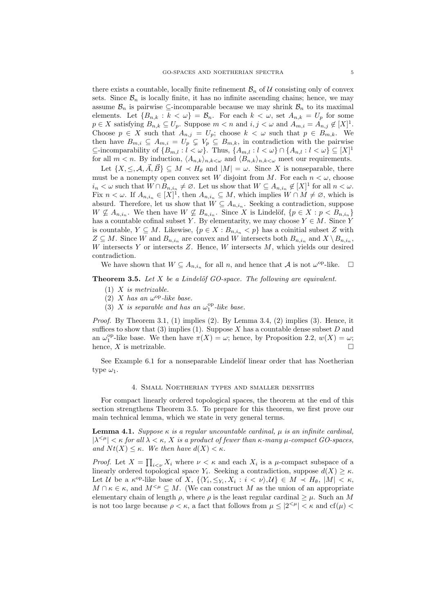there exists a countable, locally finite refinement  $\mathcal{B}_n$  of U consisting only of convex sets. Since  $\mathcal{B}_n$  is locally finite, it has no infinite ascending chains; hence, we may assume  $\mathcal{B}_n$  is pairwise ⊆-incomparable because we may shrink  $\mathcal{B}_n$  to its maximal elements. Let  $\{B_{n,k}: k < \omega\} = \mathcal{B}_n$ . For each  $k < \omega$ , set  $A_{n,k} = U_p$  for some  $p \in X$  satisfying  $B_{n,k} \subseteq U_p$ . Suppose  $m \lt n$  and  $i, j \lt \omega$  and  $A_{m,i} = A_{n,j} \notin [X]^1$ . Choose  $p \in X$  such that  $A_{n,j} = U_p$ ; choose  $k < \omega$  such that  $p \in B_{m,k}$ . We then have  $B_{m,i} \subseteq A_{m,i} = U_p \subsetneq V_p \subseteq B_{m,k}$ , in contradiction with the pairwise  $\subseteq$ -incomparability of  $\{B_{m,l} : l < \omega\}$ . Thus,  $\{A_{m,l} : l < \omega\} \cap \{A_{n,l} : l < \omega\} \subseteq [X]^1$ for all  $m < n$ . By induction,  $\langle A_{n,k} \rangle_{n,k < \omega}$  and  $\langle B_{n,k} \rangle_{n,k < \omega}$  meet our requirements.

Let  $\{X,\leq,\mathcal{A},\vec{A},\vec{B}\}\subseteq M \prec H_{\theta}$  and  $|M|=\omega$ . Since X is nonseparable, there must be a nonempty open convex set W disjoint from M. For each  $n < \omega$ , choose  $i_n < \omega$  such that  $W \cap B_{n,i_n} \neq \emptyset$ . Let us show that  $W \subseteq A_{n,i_n} \notin [X]^1$  for all  $n < \omega$ . Fix  $n < \omega$ . If  $A_{n,i_n} \in [X]^{\mathbb{I}}$ , then  $A_{n,i_n} \subseteq M$ , which implies  $W \cap M \neq \emptyset$ , which is absurd. Therefore, let us show that  $W \subseteq A_{n,i_n}$ . Seeking a contradiction, suppose  $W \nsubseteq A_{n,i_n}$ . We then have  $W \nsubseteq B_{n,i_n}$ . Since X is Lindelöf,  $\{p \in X : p < B_{n,i_n}\}\$ has a countable cofinal subset Y. By elementarity, we may choose  $Y \in M$ . Since Y is countable,  $Y \subseteq M$ . Likewise,  $\{p \in X : B_{n,i_n} < p\}$  has a coinitial subset Z with  $Z \subseteq M$ . Since W and  $B_{n,i_n}$  are convex and W intersects both  $B_{n,i_n}$  and  $X \setminus B_{n,i_n}$ , W intersects  $Y$  or intersects  $Z$ . Hence,  $W$  intersects  $M$ , which yields our desired contradiction.

We have shown that  $W \subseteq A_{n,i_n}$  for all n, and hence that A is not  $\omega^{\text{op}}$ -like.  $\Box$ 

**Theorem 3.5.** Let X be a Lindelöf GO-space. The following are equivalent.

- $(1)$  X is metrizable.
- (2) X has an  $\omega^{\rm op}$ -like base.
- (3) X is separable and has an  $\omega_1^{\rm op}$ -like base.

*Proof.* By Theorem 3.1, (1) implies (2). By Lemma 3.4, (2) implies (3). Hence, it suffices to show that  $(3)$  implies  $(1)$ . Suppose X has a countable dense subset D and an  $\omega_1^{\text{op}}$ -like base. We then have  $\pi(X) = \omega$ ; hence, by Proposition 2.2,  $w(X) = \omega$ ; hence, X is metrizable.

See Example 6.1 for a nonseparable Lindelöf linear order that has Noetherian type  $\omega_1$ .

#### 4. Small Noetherian types and smaller densities

For compact linearly ordered topological spaces, the theorem at the end of this section strengthens Theorem 3.5. To prepare for this theorem, we first prove our main technical lemma, which we state in very general terms.

Lemma 4.1. Suppose  $\kappa$  is a regular uncountable cardinal,  $\mu$  is an infinite cardinal,  $|\lambda^{\leq \mu}| < \kappa$  for all  $\lambda < \kappa$ , X is a product of fewer than  $\kappa$ -many  $\mu$ -compact GO-spaces, and  $N t(X) \leq \kappa$ . We then have  $d(X) < \kappa$ .

*Proof.* Let  $X = \prod_{i \leq \nu} X_i$  where  $\nu \leq \kappa$  and each  $X_i$  is a  $\mu$ -compact subspace of a linearly ordered topological space  $Y_i$ . Seeking a contradiction, suppose  $d(X) \geq \kappa$ . Let U be a  $\kappa^{\text{op-like}}$  base of X,  $\{ \langle Y_i, \leq_{Y_i}, X_i : i < \nu \rangle, \mathcal{U} \} \in M \prec H_\theta$ ,  $|M| < \kappa$ ,  $M \cap \kappa \in \kappa$ , and  $M^{<\mu} \subseteq M$ . (We can construct M as the union of an appropriate elementary chain of length  $\rho$ , where  $\rho$  is the least regular cardinal  $\geq \mu$ . Such an M is not too large because  $\rho < \kappa$ , a fact that follows from  $\mu \leq |2^{<\mu}| < \kappa$  and  $cf(\mu) <$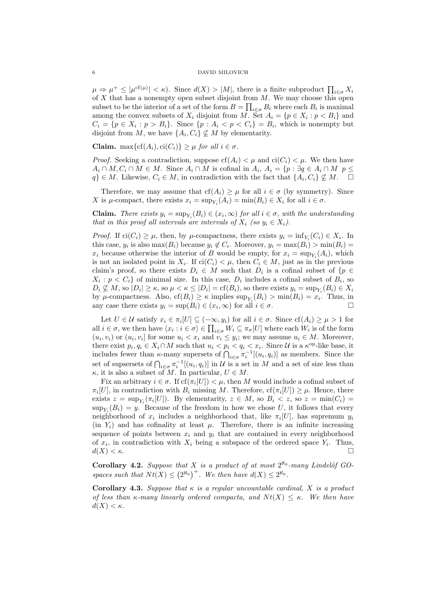$\mu \Rightarrow \mu^+ \leq |\mu^{\text{cf}(\mu)}| < \kappa$ ). Since  $d(X) > |M|$ , there is a finite subproduct  $\prod_{i \in \sigma} X_i$ of  $X$  that has a nonempty open subset disjoint from  $M$ . We may choose this open subset to be the interior of a set of the form  $B = \prod_{i \in \sigma} B_i$  where each  $B_i$  is maximal among the convex subsets of  $X_i$  disjoint from M. Set  $A_i = \{p \in X_i : p < B_i\}$  and  $C_i = \{p \in X_i : p > B_i\}.$  Since  $\{p : A_i < p < C_i\} = B_i$ , which is nonempty but disjoint from M, we have  $\{A_i, C_i\} \not\subseteq M$  by elementarity.

**Claim.** max $\{cf(A_i), ci(C_i)\} \geq \mu$  for all  $i \in \sigma$ .

*Proof.* Seeking a contradiction, suppose  $cf(A_i) < \mu$  and  $ci(C_i) < \mu$ . We then have  $A_i \cap M, C_i \cap M \in M$ . Since  $A_i \cap M$  is cofinal in  $A_i$ ,  $A_i = \{p : \exists q \in A_i \cap M \mid p \leq p \}$  $q\} \in M$ . Likewise,  $C_i \in M$ , in contradiction with the fact that  $\{A_i, C_i\} \nsubseteq M$ .  $\Box$ 

Therefore, we may assume that  $cf(A_i) \geq \mu$  for all  $i \in \sigma$  (by symmetry). Since X is  $\mu$ -compact, there exists  $x_i = \sup_{Y_i} (A_i) = \min(B_i) \in X_i$  for all  $i \in \sigma$ .

**Claim.** There exists  $y_i = \sup_{Y_i}(B_i) \in (x_i, \infty)$  for all  $i \in \sigma$ , with the understanding that in this proof all intervals are intervals of  $X_i$  (so  $y_i \in X_i$ ).

*Proof.* If  $\text{ci}(C_i) \geq \mu$ , then, by  $\mu$ -compactness, there exists  $y_i = \inf_{Y_i}(C_i) \in X_i$ . In this case,  $y_i$  is also  $\max(B_i)$  because  $y_i \notin C_i$ . Moreover,  $y_i = \max(B_i) > \min(B_i)$  $x_i$  because otherwise the interior of B would be empty, for  $x_i = \sup_{Y_i}(A_i)$ , which is not an isolated point in  $X_i$ . If  $\text{ci}(C_i) < \mu$ , then  $C_i \in M$ , just as in the previous claim's proof, so there exists  $D_i \in M$  such that  $D_i$  is a cofinal subset of  $\{p \in$  $X_i: p < C_i$  of minimal size. In this case,  $D_i$  includes a cofinal subset of  $B_i$ , so  $D_i \not\subseteq M$ , so  $|D_i| \geq \kappa$ , so  $\mu < \kappa \leq |D_i| = \text{cf}(B_i)$ , so there exists  $y_i = \sup_{Y_i}(B_i) \in X_i$ by  $\mu$ -compactness. Also,  $cf(B_i) \ge \kappa$  implies  $\sup_{Y_i}(B_i) > \min(B_i) = x_i$ . Thus, in any case there exists  $y_i = \sup(B_i) \in (x_i, \infty)$  for all  $i \in \sigma$ .

Let  $U \in \mathcal{U}$  satisfy  $x_i \in \pi_i[U] \subseteq (-\infty, y_i)$  for all  $i \in \sigma$ . Since  $cf(A_i) \geq \mu > 1$  for all  $i \in \sigma$ , we then have  $\langle x_i : i \in \sigma \rangle \in \prod_{i \in \sigma} W_i \subseteq \pi_{\sigma}[U]$  where each  $W_i$  is of the form  $(u_i, v_i)$  or  $(u_i, v_i]$  for some  $u_i < x_i$  and  $v_i \leq y_i$ ; we may assume  $u_i \in M$ . Moreover, there exist  $p_i, q_i \in X_i \cap M$  such that  $u_i < p_i < q_i < x_i$ . Since U is a  $\kappa^{\text{op}}$ -like base, it includes fewer than  $\kappa$ -many supersets of  $\bigcap_{i \in \sigma} \pi_i^{-1}[(u_i, q_i)]$  as members. Since the set of supsersets of  $\bigcap_{i \in \sigma} \pi_i^{-1}[(u_i, q_i)]$  in U is a set in M and a set of size less than  $\kappa$ , it is also a subset of M. In particular,  $U \in M$ .

Fix an arbitrary  $i \in \sigma$ . If  $cf(\pi_i[U]) < \mu$ , then M would include a cofinal subset of  $\pi_i[U]$ , in contradiction with  $B_i$  missing M. Therefore,  $cf(\pi_i[U]) \geq \mu$ . Hence, there exists  $z = \sup_{Y_i} (\pi_i[U])$ . By elementarity,  $z \in M$ , so  $B_i < z$ , so  $z = \min(C_i)$  $\sup_{Y_i}(B_i) = y.$  Because of the freedom in how we chose U, it follows that every neighborhood of  $x_i$  includes a neighborhood that, like  $\pi_i[U]$ , has supremum  $y_i$ (in  $Y_i$ ) and has cofinality at least  $\mu$ . Therefore, there is an infinite increasing sequence of points between  $x_i$  and  $y_i$  that are contained in every neighborhood of  $x_i$ , in contradiction with  $X_i$  being a subspace of the ordered space  $Y_i$ . Thus,  $d(X) < \kappa$ .

Corollary 4.2. Suppose that X is a product of at most  $2^{\aleph_0}$ -many Lindelöf GOspaces such that  $Nt(X) \leq (2^{\aleph_0})^+$ . We then have  $d(X) \leq 2^{\aleph_0}$ .

Corollary 4.3. Suppose that  $\kappa$  is a regular uncountable cardinal, X is a product of less than  $\kappa$ -many linearly ordered compacta, and  $Nt(X) \leq \kappa$ . We then have  $d(X) < \kappa$ .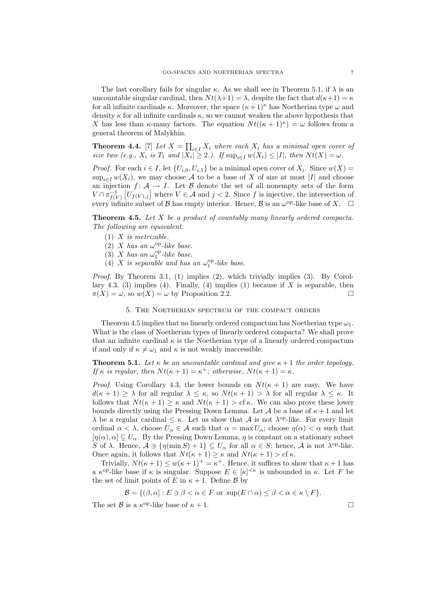The last corollary fails for singular  $\kappa$ . As we shall see in Theorem 5.1, if  $\lambda$  is an uncountable singular cardinal, then  $N t(\lambda + 1) = \lambda$ , despite the fact that  $d(\kappa + 1) = \kappa$ for all infinite cardinals  $\kappa$ . Moreover, the space  $(\kappa + 1)^{\kappa}$  has Noetherian type  $\omega$  and density  $\kappa$  for all infinite cardinals  $\kappa$ , so we cannot weaken the above hypothesis that X has less than  $\kappa$ -many factors. The equation  $N t((\kappa+1)^{\kappa}) = \omega$  follows from a general theorem of Malykhin.

**Theorem 4.4.** [7] Let  $X = \prod_{i \in I} X_i$  where each  $X_i$  has a minimal open cover of size two (e.g.,  $X_i$  is  $T_1$  and  $|X_i| \geq 2$ .). If  $\sup_{i \in I} w(X_i) \leq |I|$ , then  $Nt(X) = \omega$ .

*Proof.* For each  $i \in I$ , let  $\{U_{i,0}, U_{i,1}\}$  be a minimal open cover of  $X_i$ . Since  $w(X)$  $\sup_{i\in I} w(X_i)$ , we may choose A to be a base of X of size at most |I| and choose an injection  $f: \mathcal{A} \to I$ . Let  $\mathcal{B}$  denote the set of all nonempty sets of the form  $V \cap \pi_{f(V)}^{-1} [U_{f(V),j}]$  where  $V \in \mathcal{A}$  and  $j < 2$ . Since f is injective, the intersection of every infinite subset of  $\mathcal B$  has empty interior. Hence,  $\mathcal B$  is an  $\omega^{\mathrm{op}}$ -like base of  $X$ .  $\square$ 

Theorem 4.5. Let X be a product of countably many linearly ordered compacta. The following are equivalent.

- $(1)$  X is metrizable.
- (2) X has an  $\omega^{\rm op}$ -like base.
- (3) X has an  $\omega_1^{\rm op}$ -like base.
- (4) X is separable and has an  $\omega_1^{\rm op}$ -like base.

Proof. By Theorem 3.1, (1) implies (2), which trivially implies (3). By Corollary 4.3, (3) implies (4). Finally, (4) implies (1) because if  $X$  is separable, then  $\pi(X) = \omega$ , so  $w(X) = \omega$  by Proposition 2.2.

## 5. The Noetherian spectrum of the compact orders

Theorem 4.5 implies that no linearly ordered compactum has Noetherian type  $\omega_1$ . What is the class of Noetherian types of linearly ordered compacta? We shall prove that an infinite cardinal  $\kappa$  is the Noetherian type of a linearly ordered compactum if and only if  $\kappa \neq \omega_1$  and  $\kappa$  is not weakly inaccessible.

**Theorem 5.1.** Let  $\kappa$  be an uncountable cardinal and give  $\kappa + 1$  the order topology. If  $\kappa$  is regular, then  $Nt(\kappa + 1) = \kappa^+$ ; otherwise,  $Nt(\kappa + 1) = \kappa$ .

*Proof.* Using Corollary 4.3, the lower bounds on  $Nt(\kappa + 1)$  are easy. We have  $d(\kappa + 1) \geq \lambda$  for all regular  $\lambda \leq \kappa$ , so  $Nt(\kappa + 1) > \lambda$  for all regular  $\lambda \leq \kappa$ . It follows that  $N t(\kappa + 1) \geq \kappa$  and  $N t(\kappa + 1) > c f \kappa$ . We can also prove these lower bounds directly using the Pressing Down Lemma. Let A be a base of  $\kappa + 1$  and let  $\lambda$  be a regular cardinal  $\leq \kappa$ . Let us show that A is not  $\lambda^{\text{op-like}}$ . For every limit ordinal  $\alpha < \lambda$ , choose  $U_{\alpha} \in \mathcal{A}$  such that  $\alpha = \max U_{\alpha}$ ; choose  $\eta(\alpha) < \alpha$  such that  $[\eta(\alpha), \alpha] \subseteq U_\alpha$ . By the Pressing Down Lemma,  $\eta$  is constant on a stationary subset S of  $\lambda$ . Hence,  $\mathcal{A} \ni \{\eta(\min S) + 1\} \subseteq U_\alpha$  for all  $\alpha \in S$ ; hence,  $\mathcal{A}$  is not  $\lambda^{\text{op-like}}$ . Once again, it follows that  $N t(\kappa + 1) \geq \kappa$  and  $N t(\kappa + 1) > c f \kappa$ .

Trivially,  $Nt(\kappa+1) \leq w(\kappa+1)^{+} = \kappa^{+}$ . Hence, it suffices to show that  $\kappa+1$  has a  $\kappa^{\text{op}}$ -like base if  $\kappa$  is singular. Suppose  $E \in |\kappa|^{<\kappa}$  is unbounded in  $\kappa$ . Let F be the set of limit points of E in  $\kappa + 1$ . Define B by

$$
\mathcal{B} = \{ (\beta, \alpha) : E \ni \beta < \alpha \in F \text{ or } \sup(E \cap \alpha) \leq \beta < \alpha \in \kappa \setminus F \}.
$$

The set  $\mathcal{B}$  is a  $\kappa^{\rm op}$ -like base of  $\kappa + 1$ .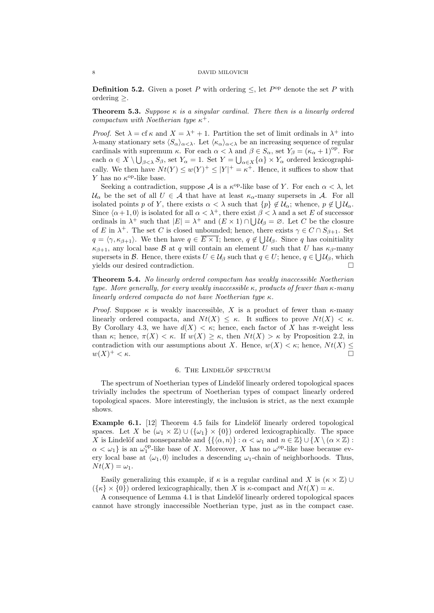**Definition 5.2.** Given a poset P with ordering  $\leq$ , let  $P^{\text{op}}$  denote the set P with ordering  $\geq$ .

**Theorem 5.3.** Suppose  $\kappa$  is a singular cardinal. There then is a linearly ordered compactum with Noetherian type  $\kappa^+$ .

*Proof.* Set  $\lambda =$  cf  $\kappa$  and  $X = \lambda^+ + 1$ . Partition the set of limit ordinals in  $\lambda^+$  into λ-many stationary sets  $\langle S_\alpha \rangle_{\alpha < \lambda}$ . Let  $\langle \kappa_\alpha \rangle_{\alpha < \lambda}$  be an increasing sequence of regular cardinals with supremum  $\kappa$ . For each  $\alpha < \lambda$  and  $\beta \in S_\alpha$ , set  $Y_\beta = (\kappa_\alpha + 1)^{\text{op}}$ . For each  $\alpha \in X \setminus \bigcup_{\beta < \lambda} S_{\beta}$ , set  $Y_{\alpha} = 1$ . Set  $Y = \bigcup_{\alpha \in X} {\{\alpha\}} \times Y_{\alpha}$  ordered lexicographically. We then have  $N t(Y) \leq w(Y)^{+} \leq |Y|^{+} = \kappa^{+}$ . Hence, it suffices to show that Y has no  $\kappa^{\rm op}\text{-like}$  base.

Seeking a contradiction, suppose A is a  $\kappa^{\rm op}$ -like base of Y. For each  $\alpha < \lambda$ , let  $\mathcal{U}_{\alpha}$  be the set of all  $U \in \mathcal{A}$  that have at least  $\kappa_{\alpha}$ -many supersets in A. For all isolated points p of Y, there exists  $\alpha < \lambda$  such that  $\{p\} \notin \mathcal{U}_{\alpha}$ ; whence,  $p \notin \bigcup \mathcal{U}_{\alpha}$ . Since  $\langle \alpha+1, 0 \rangle$  is isolated for all  $\alpha < \lambda^+$ , there exist  $\beta < \lambda$  and a set E of successor ordinals in  $\lambda^+$  such that  $|E| = \lambda^+$  and  $(E \times 1) \cap \bigcup \mathcal{U}_{\beta} = \emptyset$ . Let C be the closure of E in  $\lambda^+$ . The set C is closed unbounded; hence, there exists  $\gamma \in C \cap S_{\beta+1}$ . Set  $q = \langle \gamma, \kappa_{\beta+1} \rangle$ . We then have  $q \in \overline{E \times 1}$ ; hence,  $q \notin \bigcup \mathcal{U}_{\beta}$ . Since q has coinitiality  $\kappa_{\beta+1}$ , any local base  $\beta$  at q will contain an element U such that U has  $\kappa_{\beta}$ -many supersets in B. Hence, there exists  $U \in \mathcal{U}_{\beta}$  such that  $q \in U$ ; hence,  $q \in \bigcup \mathcal{U}_{\beta}$ , which yields our desired contradiction.

Theorem 5.4. No linearly ordered compactum has weakly inaccessible Noetherian type. More generally, for every weakly inaccessible  $\kappa$ , products of fewer than  $\kappa$ -many linearly ordered compacta do not have Noetherian type  $\kappa$ .

*Proof.* Suppose  $\kappa$  is weakly inaccessible, X is a product of fewer than  $\kappa$ -many linearly ordered compacta, and  $N t(X) \leq \kappa$ . It suffices to prove  $N t(X) < \kappa$ . By Corollary 4.3, we have  $d(X) < \kappa$ ; hence, each factor of X has π-weight less than  $\kappa$ ; hence,  $\pi(X) < \kappa$ . If  $w(X) \geq \kappa$ , then  $Nt(X) > \kappa$  by Proposition 2.2, in contradiction with our assumptions about X. Hence,  $w(X) < \kappa$ ; hence,  $Nt(X) \leq$  $w(X)^{+} < \kappa$ .  $^{+}$   $<$   $\kappa$ .

# 6. THE LINDELÖF SPECTRUM

The spectrum of Noetherian types of Lindelöf linearly ordered topological spaces trivially includes the spectrum of Noetherian types of compact linearly ordered topological spaces. More interestingly, the inclusion is strict, as the next example shows.

**Example 6.1.** [12] Theorem 4.5 fails for Lindelöf linearly ordered topological spaces. Let X be  $(\omega_1 \times \mathbb{Z}) \cup (\{\omega_1\} \times \{0\})$  ordered lexicographically. The space X is Lindelöf and nonseparable and  $\{\{\langle \alpha, n \rangle\} : \alpha < \omega_1 \text{ and } n \in \mathbb{Z}\} \cup \{X \setminus (\alpha \times \mathbb{Z}) :$  $\alpha < \omega_1$ } is an  $\omega_1^{\text{op}}$ -like base of X. Moreover, X has no  $\omega_{\text{op}}$ -like base because every local base at  $\langle \omega_1, 0 \rangle$  includes a descending  $\omega_1$ -chain of neighborhoods. Thus,  $N t(X) = \omega_1.$ 

Easily generalizing this example, if  $\kappa$  is a regular cardinal and X is  $(\kappa \times \mathbb{Z}) \cup$  $({\{\kappa\}\times\{0\}})$  ordered lexicographically, then X is  $\kappa$ -compact and  $Nt(X) = \kappa$ .

A consequence of Lemma 4.1 is that Lindelöf linearly ordered topological spaces cannot have strongly inaccessible Noetherian type, just as in the compact case.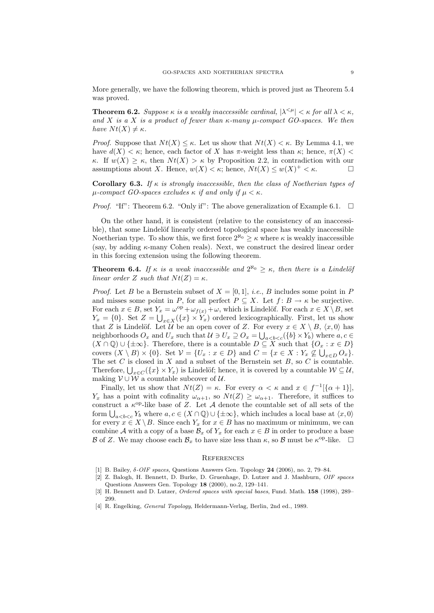More generally, we have the following theorem, which is proved just as Theorem 5.4 was proved.

**Theorem 6.2.** Suppose  $\kappa$  is a weakly inaccessible cardinal,  $|\lambda^{\leq \mu}| < \kappa$  for all  $\lambda < \kappa$ , and X is a X is a product of fewer than  $\kappa$ -many  $\mu$ -compact GO-spaces. We then have  $N t(X) \neq \kappa$ .

*Proof.* Suppose that  $N t(X) \leq \kappa$ . Let us show that  $N t(X) \leq \kappa$ . By Lemma 4.1, we have  $d(X) < \kappa$ ; hence, each factor of X has  $\pi$ -weight less than  $\kappa$ ; hence,  $\pi(X)$ κ. If  $w(X) \geq \kappa$ , then  $N_t(X) > \kappa$  by Proposition 2.2, in contradiction with our assumptions about X. Hence,  $w(X) < \kappa$ ; hence,  $Nt(X) \leq w(X)^+ < \kappa$ .

**Corollary 6.3.** If  $\kappa$  is strongly inaccessible, then the class of Noetherian types of  $\mu$ -compact GO-spaces excludes  $\kappa$  if and only if  $\mu < \kappa$ .

*Proof.* "If": Theorem 6.2. "Only if": The above generalization of Example 6.1.  $\Box$ 

On the other hand, it is consistent (relative to the consistency of an inaccessible), that some Lindelöf linearly ordered topological space has weakly inaccessible Noetherian type. To show this, we first force  $2^{\aleph_0} \geq \kappa$  where  $\kappa$  is weakly inaccessible (say, by adding  $\kappa$ -many Cohen reals). Next, we construct the desired linear order in this forcing extension using the following theorem.

**Theorem 6.4.** If  $\kappa$  is a weak inaccessible and  $2^{\aleph_0} \geq \kappa$ , then there is a Lindelöj linear order Z such that  $Nt(Z) = \kappa$ .

*Proof.* Let B be a Bernstein subset of  $X = [0, 1]$ , *i.e.*, B includes some point in P and misses some point in P, for all perfect  $P \subseteq X$ . Let  $f: B \to \kappa$  be surjective. For each  $x \in B$ , set  $Y_x = \omega^{\text{op}} + \omega_{f(x)} + \omega$ , which is Lindelöf. For each  $x \in X \setminus B$ , set  $Y_x = \{0\}$ . Set  $Z = \bigcup_{x \in X} (\{x\} \times Y_x)$  ordered lexicographically. First, let us show that Z is Lindelöf. Let U be an open cover of Z. For every  $x \in X \setminus B$ ,  $\langle x, 0 \rangle$  has neighborhoods  $O_x$  and  $U_x$  such that  $\mathcal{U} \ni U_x \supseteq O_x = \bigcup_{a < b < c} (\{b\} \times Y_b)$  where  $a, c \in$  $(X \cap \mathbb{Q}) \cup \{\pm \infty\}.$  Therefore, there is a countable  $D \subseteq X$  such that  $\{O_x : x \in D\}$ covers  $(X \setminus B) \times \{0\}$ . Set  $\mathcal{V} = \{U_x : x \in D\}$  and  $C = \{x \in X : Y_x \not\subseteq \bigcup_{x \in D} O_x\}$ . The set  $C$  is closed in  $X$  and a subset of the Bernstein set  $B$ , so  $C$  is countable. Therefore,  $\bigcup_{x\in C} (\{x\} \times Y_x)$  is Lindelöf; hence, it is covered by a countable  $\mathcal{W} \subseteq \mathcal{U}$ , making  $V \cup W$  a countable subcover of U.

Finally, let us show that  $Nt(Z) = \kappa$ . For every  $\alpha < \kappa$  and  $x \in f^{-1}[\{\alpha + 1\}],$  $Y_x$  has a point with cofinality  $\omega_{\alpha+1}$ , so  $Nt(Z) \geq \omega_{\alpha+1}$ . Therefore, it suffices to construct a  $\kappa^{op}$ -like base of Z. Let A denote the countable set of all sets of the form  $\bigcup_{a where  $a, c \in (X \cap \mathbb{Q}) \cup \{\pm \infty\}$ , which includes a local base at  $\langle x, 0 \rangle$$ for every  $x \in X \setminus B$ . Since each  $Y_x$  for  $x \in B$  has no maximum or minimum, we can combine A with a copy of a base  $\mathcal{B}_x$  of  $Y_x$  for each  $x \in B$  in order to produce a base B of Z. We may choose each  $\mathcal{B}_x$  to have size less than  $\kappa$ , so B must be  $\kappa^{\text{op-like}}$ .  $\square$ 

#### **REFERENCES**

- [1] B. Bailey,  $\delta$ -*OIF spaces*, Questions Answers Gen. Topology **24** (2006), no. 2, 79–84.
- [2] Z. Balogh, H. Bennett, D. Burke, D. Gruenhage, D. Lutzer and J. Mashburn, OIF spaces Questions Answers Gen. Topology 18 (2000), no.2, 129–141.
- [3] H. Bennett and D. Lutzer, *Ordered spaces with special bases*, Fund. Math. **158** (1998), 289– 299.
- [4] R. Engelking, General Topology, Heldermann-Verlag, Berlin, 2nd ed., 1989.